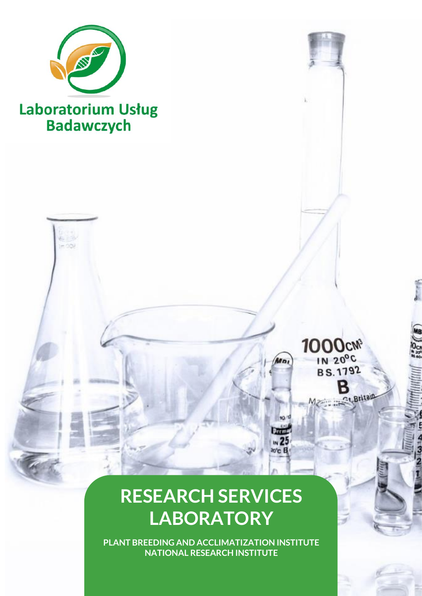

# Laboratorium Usług<br>Badawczych

## 1000cm IN 20°C<br>BS.1792 B

M

Wo,

10/1

Dani  $\sqrt{25}$ ю'с В

## **RESEARCH SERVICES LABORATORY**

**PLANT BREEDING AND ACCLIMATIZATION INSTITUTE NATIONAL RESEARCH INSTITUTE**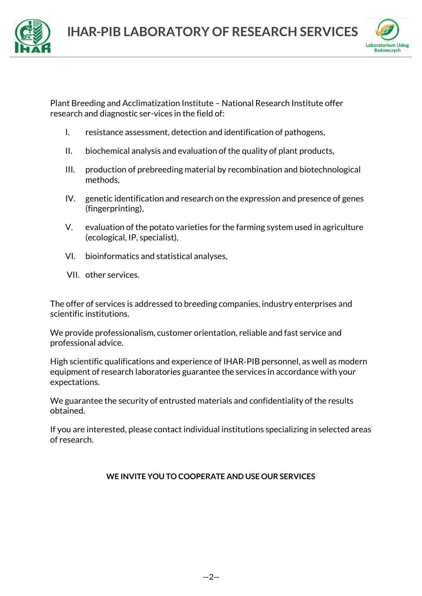



Plant Breeding and Acclimatization Institute – National Research Institute offer research and diagnostic ser-vices in the field of:

- I. [resistance assessment, detection and identification of pathogens,](#page-2-0)
- [II. biochemical analysis and evaluation of the quality of plant](#page-4-0) products,
- III. [production of prebreeding material by recombination and biotechnological](#page-7-0)  [methods,](#page-7-0)
- IV. [genetic identification and research on the expression and presence of genes](#page-8-0)  [\(fingerprinting\),](#page-8-0)
- V. [evaluation of the potato varieties for the farming system used in agriculture](#page-9-0)  [\(ecological, IP, specialist\),](#page-9-0)
- [VI. bioinformatics and statistical analyses,](#page-10-0)
- VII. [other services.](#page-10-1)

The offer of services is addressed to breeding companies, industry enterprises and scientific institutions.

We provide professionalism, customer orientation, reliable and fast service and professional advice.

High scientific qualifications and experience of IHAR‐PIB personnel, as well as modern equipment of research laboratories guarantee the services in accordance with your expectations.

We guarantee the security of entrusted materials and confidentiality of the results obtained.

If you are interested, please contact individual institutions specializing in selected areas of research.

#### **WE INVITE YOU TO COOPERATE AND USE OUR SERVICES**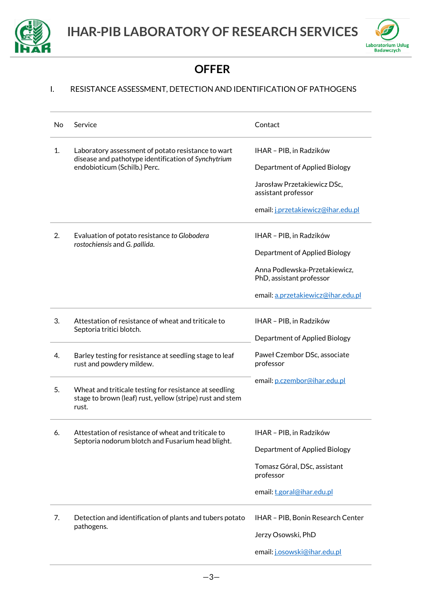



### **OFFER**

#### <span id="page-2-0"></span>I. RESISTANCE ASSESSMENT, DETECTION AND IDENTIFICATION OF PATHOGENS

| No | Service                                                                                                                      | Contact                                                   |
|----|------------------------------------------------------------------------------------------------------------------------------|-----------------------------------------------------------|
| 1. | Laboratory assessment of potato resistance to wart<br>disease and pathotype identification of Synchytrium                    | IHAR - PIB, in Radzików                                   |
|    | endobioticum (Schilb.) Perc.                                                                                                 | Department of Applied Biology                             |
|    |                                                                                                                              | Jarosław Przetakiewicz DSc,<br>assistant professor        |
|    |                                                                                                                              | email: j.przetakiewicz@ihar.edu.pl                        |
| 2. | Evaluation of potato resistance to Globodera<br>rostochiensis and G. pallida.                                                | IHAR - PIB, in Radzików                                   |
|    |                                                                                                                              | Department of Applied Biology                             |
|    |                                                                                                                              | Anna Podlewska-Przetakiewicz.<br>PhD, assistant professor |
|    |                                                                                                                              | email: a.przetakiewicz@ihar.edu.pl                        |
| 3. | Attestation of resistance of wheat and triticale to<br>Septoria tritici blotch.                                              | IHAR - PIB, in Radzików                                   |
|    |                                                                                                                              | Department of Applied Biology                             |
| 4. | Barley testing for resistance at seedling stage to leaf<br>rust and powdery mildew.                                          | Paweł Czembor DSc, associate<br>professor                 |
|    |                                                                                                                              | email: p.czembor@ihar.edu.pl                              |
| 5. | Wheat and triticale testing for resistance at seedling<br>stage to brown (leaf) rust, yellow (stripe) rust and stem<br>rust. |                                                           |
| 6. | Attestation of resistance of wheat and triticale to<br>Septoria nodorum blotch and Fusarium head blight.                     | IHAR - PIB, in Radzików                                   |
|    |                                                                                                                              | Department of Applied Biology                             |
|    |                                                                                                                              | Tomasz Góral, DSc, assistant<br>professor                 |
|    |                                                                                                                              | email: t.goral@ihar.edu.pl                                |
| 7. | Detection and identification of plants and tubers potato<br>pathogens.                                                       | IHAR - PIB, Bonin Research Center                         |
|    |                                                                                                                              | Jerzy Osowski, PhD                                        |
|    |                                                                                                                              | email: j.osowski@ihar.edu.pl                              |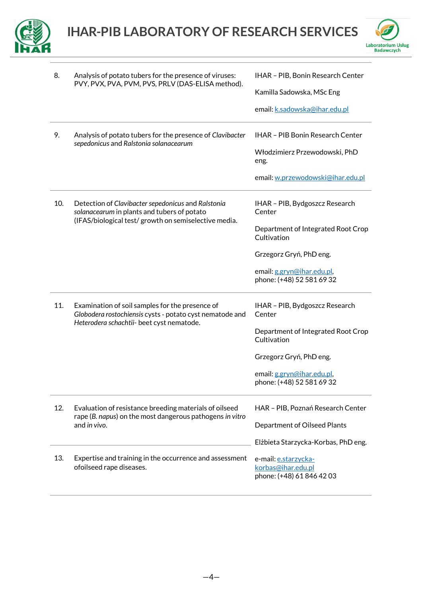



| 8.  | Analysis of potato tubers for the presence of viruses:<br>PVY, PVX, PVA, PVM, PVS, PRLV (DAS-ELISA method).                                                | IHAR - PIB, Bonin Research Center<br>Kamilla Sadowska, MSc Eng<br>email: k.sadowska@ihar.edu.pl                                                                                     |
|-----|------------------------------------------------------------------------------------------------------------------------------------------------------------|-------------------------------------------------------------------------------------------------------------------------------------------------------------------------------------|
| 9.  | Analysis of potato tubers for the presence of Clavibacter<br>sepedonicus and Ralstonia solanacearum                                                        | <b>IHAR - PIB Bonin Research Center</b><br>Włodzimierz Przewodowski, PhD<br>eng.<br>email: w.przewodowski@ihar.edu.pl                                                               |
| 10. | Detection of Clavibacter sepedonicus and Ralstonia<br>solanacearum in plants and tubers of potato<br>(IFAS/biological test/ growth on semiselective media. | IHAR - PIB, Bydgoszcz Research<br>Center<br>Department of Integrated Root Crop<br>Cultivation<br>Grzegorz Gryń, PhD eng.<br>email: g.gryn@ihar.edu.pl,<br>phone: (+48) 52 581 69 32 |
| 11. | Examination of soil samples for the presence of<br>Globodera rostochiensis cysts - potato cyst nematode and<br>Heterodera schachtii- beet cyst nematode.   | IHAR - PIB, Bydgoszcz Research<br>Center<br>Department of Integrated Root Crop<br>Cultivation<br>Grzegorz Gryń, PhD eng.<br>email: g.gryn@ihar.edu.pl,<br>phone: (+48) 52 581 69 32 |
| 12. | Evaluation of resistance breeding materials of oilseed<br>rape (B. napus) on the most dangerous pathogens in vitro<br>and in vivo.                         | HAR - PIB, Poznań Research Center<br>Department of Oilseed Plants<br>Elżbieta Starzycka-Korbas, PhD eng.                                                                            |
| 13. | Expertise and training in the occurrence and assessment<br>ofoilseed rape diseases.                                                                        | e-mail: e.starzycka-<br>korbas@ihar.edu.pl<br>phone: (+48) 61 846 42 03                                                                                                             |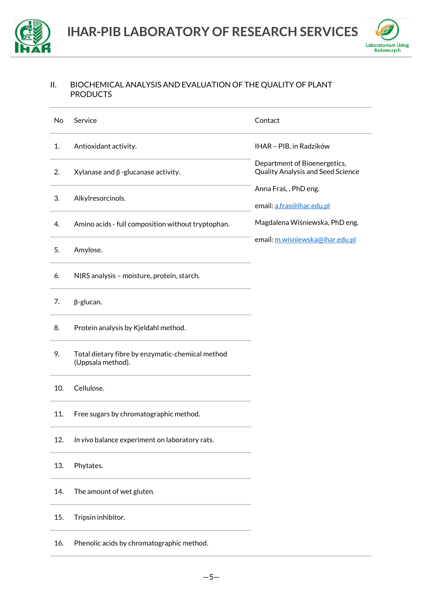



#### <span id="page-4-0"></span>II. BIOCHEMICAL ANALYSIS AND EVALUATION OF THE QUALITY OF PLANT **PRODUCTS**

| No  | Service                                                                         | Contact                                                           |
|-----|---------------------------------------------------------------------------------|-------------------------------------------------------------------|
| 1.  | Antioxidant activity.                                                           | IHAR - PIB, in Radzików                                           |
| 2.  | $X$ ylanase and $\beta$ -glucanase activity.                                    | Department of Bioenergetics,<br>Quality Analysis and Seed Science |
| 3.  | Alkylresorcinols.                                                               | Anna Fraś,, PhD eng.<br>email: a.fras@ihar.edu.pl                 |
| 4.  | Amino acids - full composition without tryptophan.                              | Magdalena Wiśniewska, PhD eng.                                    |
| 5.  | Amylose.                                                                        | email: m.wisniewska@ihar.edu.pl                                   |
| 6.  | NIRS analysis - moisture, protein, starch.                                      |                                                                   |
| 7.  | $\beta$ -glucan.                                                                |                                                                   |
| 8.  | Protein analysis by Kjeldahl method.                                            |                                                                   |
| 9.  | Total dietary fibre by enzymatic-chemical method<br>(Uppsala method).           |                                                                   |
| 10. | Cellulose.                                                                      |                                                                   |
| 11. | Free sugars by chromatographic method.                                          |                                                                   |
| 12. | In vivo balance experiment on laboratory rats.                                  |                                                                   |
| 13. | Phytates.                                                                       |                                                                   |
| 14. | <u> 1989 - Johann Barn, amerikansk politiker (</u><br>The amount of wet gluten. |                                                                   |
| 15. | Tripsin inhibitor.                                                              |                                                                   |
| 16. | Phenolic acids by chromatographic method.                                       |                                                                   |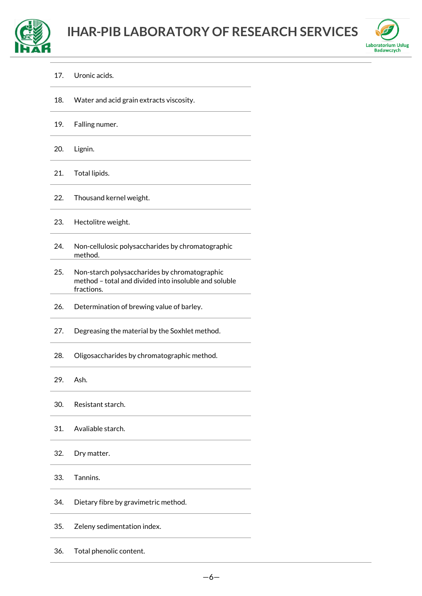



17. Uronic acids.

| 18. | Water and acid grain extracts viscosity. |
|-----|------------------------------------------|
|-----|------------------------------------------|

19. Falling numer.

20. Lignin.

- 21. Total lipids.
- 22. Thousand kernel weight.
- 23. Hectolitre weight.
- 24. Non-cellulosic polysaccharides by chromatographic method.
- 25. Non-starch polysaccharides by chromatographic method – total and divided into insoluble and soluble fractions.
- 26. Determination of brewing value of barley.
- 27. Degreasing the material by the Soxhlet method.
- 28. Oligosaccharides by chromatographic method.
- 29. Ash.
- 30. Resistant starch.
- 31. Avaliable starch.
- 32. Dry matter.
- 33. Tannins.
- 34. Dietary fibre by gravimetric method.
- 35. Zeleny sedimentation index.
- 36. Total phenolic content.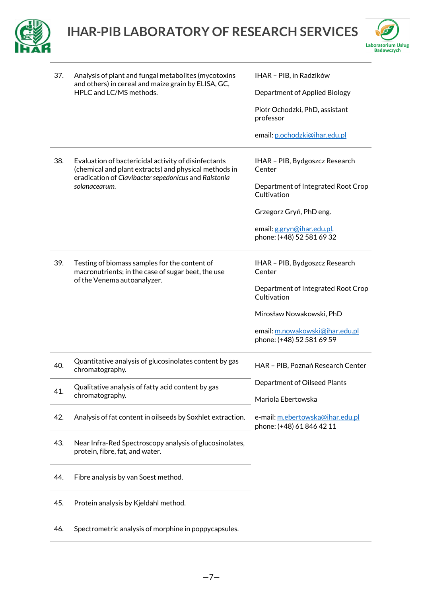



| 37. | Analysis of plant and fungal metabolites (mycotoxins                                                                                                                  | IHAR - PIB, in Radzików                                       |
|-----|-----------------------------------------------------------------------------------------------------------------------------------------------------------------------|---------------------------------------------------------------|
|     | and others) in cereal and maize grain by ELISA, GC,<br>HPLC and LC/MS methods.                                                                                        | Department of Applied Biology                                 |
|     |                                                                                                                                                                       | Piotr Ochodzki, PhD, assistant<br>professor                   |
|     |                                                                                                                                                                       | email: p.ochodzki@ihar.edu.pl                                 |
| 38. | Evaluation of bactericidal activity of disinfectants<br>(chemical and plant extracts) and physical methods in<br>eradication of Clavibacter sepedonicus and Ralstonia | IHAR - PIB, Bydgoszcz Research<br>Center                      |
|     | solanacearum.                                                                                                                                                         | Department of Integrated Root Crop<br>Cultivation             |
|     |                                                                                                                                                                       | Grzegorz Gryń, PhD eng.                                       |
|     |                                                                                                                                                                       | email: g.gryn@ihar.edu.pl,<br>phone: (+48) 52 581 69 32       |
| 39. | Testing of biomass samples for the content of<br>macronutrients; in the case of sugar beet, the use                                                                   | IHAR - PIB, Bydgoszcz Research<br>Center                      |
|     | of the Venema autoanalyzer.                                                                                                                                           | Department of Integrated Root Crop<br>Cultivation             |
|     |                                                                                                                                                                       | Mirosław Nowakowski, PhD                                      |
|     |                                                                                                                                                                       | email: m.nowakowski@ihar.edu.pl<br>phone: (+48) 52 581 69 59  |
| 40. | Quantitative analysis of glucosinolates content by gas<br>chromatography.                                                                                             | HAR - PIB, Poznań Research Center                             |
| 41. | Qualitative analysis of fatty acid content by gas<br>chromatography.                                                                                                  | Department of Oilseed Plants<br>Mariola Ebertowska            |
| 42. | Analysis of fat content in oilseeds by Soxhlet extraction.                                                                                                            | e-mail: m.ebertowska@ihar.edu.pl<br>phone: (+48) 61 846 42 11 |
| 43. | Near Infra-Red Spectroscopy analysis of glucosinolates,<br>protein, fibre, fat, and water.                                                                            |                                                               |
| 44. | Fibre analysis by van Soest method.                                                                                                                                   |                                                               |
| 45. | Protein analysis by Kjeldahl method.                                                                                                                                  |                                                               |
| 46. | Spectrometric analysis of morphine in poppycapsules.                                                                                                                  |                                                               |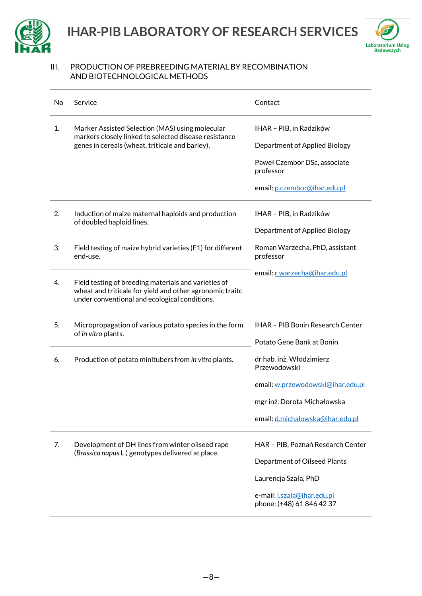



#### <span id="page-7-0"></span>III. PRODUCTION OF PREBREEDING MATERIAL BY RECOMBINATION AND BIOTECHNOLOGICAL METHODS

| No | Service                                                                                                                                                           | Contact                                                        |
|----|-------------------------------------------------------------------------------------------------------------------------------------------------------------------|----------------------------------------------------------------|
| 1. | Marker Assisted Selection (MAS) using molecular<br>markers closely linked to selected disease resistance                                                          | IHAR - PIB, in Radzików                                        |
|    | genes in cereals (wheat, triticale and barley).                                                                                                                   | Department of Applied Biology                                  |
|    |                                                                                                                                                                   | Paweł Czembor DSc, associate<br>professor                      |
|    |                                                                                                                                                                   | email: p.czembor@ihar.edu.pl                                   |
| 2. | Induction of maize maternal haploids and production<br>of doubled haploid lines.                                                                                  | IHAR - PIB, in Radzików                                        |
|    |                                                                                                                                                                   | Department of Applied Biology                                  |
| 3. | Field testing of maize hybrid varieties (F1) for different<br>end-use.                                                                                            | Roman Warzecha, PhD, assistant<br>professor                    |
| 4. | Field testing of breeding materials and varieties of<br>wheat and triticale for yield and other agronomic traitc<br>under conventional and ecological conditions. | email: r.warzecha@ihar.edu.pl                                  |
| 5. | Micropropagation of various potato species in the form<br>of in vitro plants.                                                                                     | <b>IHAR - PIB Bonin Research Center</b>                        |
|    |                                                                                                                                                                   | Potato Gene Bank at Bonin                                      |
| 6. | Production of potato minitubers from in vitro plants.                                                                                                             | dr hab. inż. Włodzimierz<br>Przewodowski                       |
|    |                                                                                                                                                                   | email: w.przewodowski@ihar.edu.pl                              |
|    |                                                                                                                                                                   | mgr inż. Dorota Michałowska                                    |
|    |                                                                                                                                                                   | email: d.michalowska@ihar.edu.pl                               |
| 7. | Development of DH lines from winter oilseed rape<br>(Brassica napus L.) genotypes delivered at place.                                                             | HAR - PIB, Poznań Research Center                              |
|    |                                                                                                                                                                   | Department of Oilseed Plants                                   |
|    |                                                                                                                                                                   | Laurencja Szała, PhD                                           |
|    |                                                                                                                                                                   | e-mail: <b>Lszala@ihar.edu.pl</b><br>phone: (+48) 61 846 42 37 |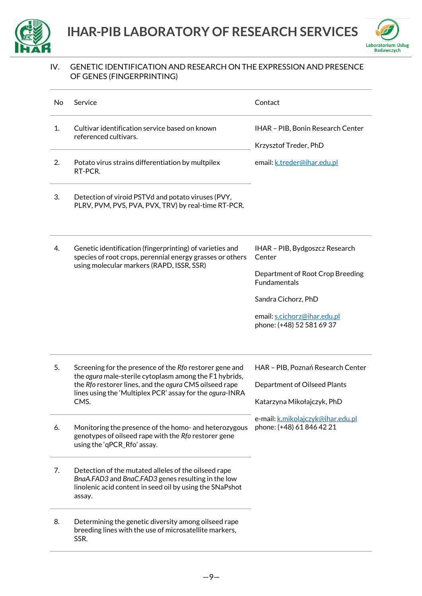



#### <span id="page-8-0"></span>IV. GENETIC IDENTIFICATION AND RESEARCH ON THE EXPRESSION AND PRESENCE OF GENES (FINGERPRINTING)

| No | Service                                                                                                                                                                                                                                         | Contact                                                                                                                                                                                 |
|----|-------------------------------------------------------------------------------------------------------------------------------------------------------------------------------------------------------------------------------------------------|-----------------------------------------------------------------------------------------------------------------------------------------------------------------------------------------|
| 1. | Cultivar identification service based on known<br>referenced cultivars.                                                                                                                                                                         | IHAR - PIB, Bonin Research Center<br>Krzysztof Treder, PhD                                                                                                                              |
| 2. | Potato virus strains differentiation by multpilex<br>RT-PCR.                                                                                                                                                                                    | email: k.treder@ihar.edu.pl                                                                                                                                                             |
| 3. | Detection of viroid PSTVd and potato viruses (PVY,<br>PLRV, PVM, PVS, PVA, PVX, TRV) by real-time RT-PCR.                                                                                                                                       |                                                                                                                                                                                         |
| 4. | Genetic identification (fingerprinting) of varieties and<br>species of root crops, perennial energy grasses or others<br>using molecular markers (RAPD, ISSR, SSR)                                                                              | IHAR - PIB, Bydgoszcz Research<br>Center<br>Department of Root Crop Breeding<br><b>Fundamentals</b><br>Sandra Cichorz, PhD<br>email: s.cichorz@ihar.edu.pl<br>phone: (+48) 52 581 69 37 |
| 5. | Screening for the presence of the Rfo restorer gene and<br>the ogura male-sterile cytoplasm among the F1 hybrids,<br>the Rfo restorer lines, and the ogura CMS oilseed rape<br>lines using the 'Multiplex PCR' assay for the ogura-INRA<br>CMS. | HAR - PIB, Poznań Research Center<br>Department of Oilseed Plants<br>Katarzyna Mikołajczyk, PhD                                                                                         |
| 6. | Monitoring the presence of the homo- and heterozygous<br>genotypes of oilseed rape with the Rfo restorer gene<br>using the 'qPCR_Rfo' assay.                                                                                                    | e-mail: k.mikolajczyk@ihar.edu.pl<br>phone: (+48) 61 846 42 21                                                                                                                          |
| 7. | Detection of the mutated alleles of the oilseed rape<br>BnaA.FAD3 and BnaC.FAD3 genes resulting in the low<br>linolenic acid content in seed oil by using the SNaPshot<br>assay.                                                                |                                                                                                                                                                                         |
| 8. | Determining the genetic diversity among oilseed rape<br>breeding lines with the use of microsatellite markers,<br>SSR.                                                                                                                          |                                                                                                                                                                                         |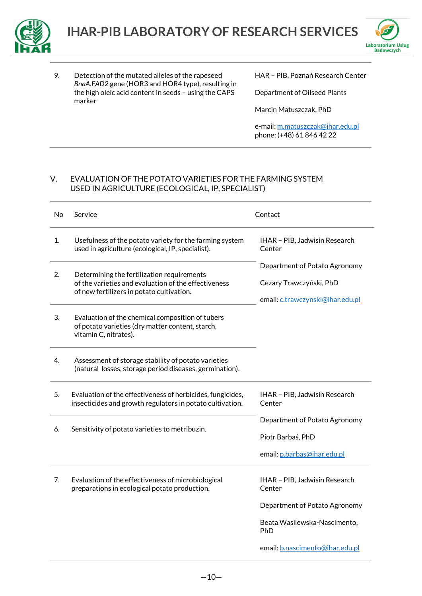



9. Detection of the mutated alleles of the rapeseed *BnaA.FAD2* gene (HOR3 and HOR4 type), resulting in the high oleic acid content in seeds – using the CAPS marker

HAR – PIB, Poznań Research Center

Department of Oilseed Plants

Marcin Matuszczak, PhD

e-mail[: m.matuszczak@ihar.edu.pl](mailto:m.matuszczak@ihar.edu.pl) phone: (+48) 61 846 42 22

#### <span id="page-9-0"></span>V. EVALUATION OF THE POTATO VARIETIES FOR THE FARMING SYSTEM USED IN AGRICULTURE (ECOLOGICAL, IP, SPECIALIST)

| No | Service                                                                                                                                         | Contact                                                                                                                                            |
|----|-------------------------------------------------------------------------------------------------------------------------------------------------|----------------------------------------------------------------------------------------------------------------------------------------------------|
| 1. | Usefulness of the potato variety for the farming system<br>used in agriculture (ecological, IP, specialist).                                    | IHAR - PIB, Jadwisin Research<br>Center                                                                                                            |
| 2. | Determining the fertilization requirements<br>of the varieties and evaluation of the effectiveness<br>of new fertilizers in potato cultivation. | Department of Potato Agronomy<br>Cezary Trawczyński, PhD<br>email: c.trawczynski@ihar.edu.pl                                                       |
| 3. | Evaluation of the chemical composition of tubers<br>of potato varieties (dry matter content, starch,<br>vitamin C, nitrates).                   |                                                                                                                                                    |
| 4. | Assessment of storage stability of potato varieties<br>(natural losses, storage period diseases, germination).                                  |                                                                                                                                                    |
| 5. | Evaluation of the effectiveness of herbicides, fungicides,<br>insecticides and growth regulators in potato cultivation.                         | IHAR - PIB, Jadwisin Research<br>Center                                                                                                            |
| 6. | Sensitivity of potato varieties to metribuzin.                                                                                                  | Department of Potato Agronomy<br>Piotr Barbaś, PhD<br>email: p.barbas@ihar.edu.pl                                                                  |
| 7. | Evaluation of the effectiveness of microbiological<br>preparations in ecological potato production.                                             | IHAR - PIB, Jadwisin Research<br>Center<br>Department of Potato Agronomy<br>Beata Wasilewska-Nascimento,<br>PhD<br>email: b.nascimento@ihar.edu.pl |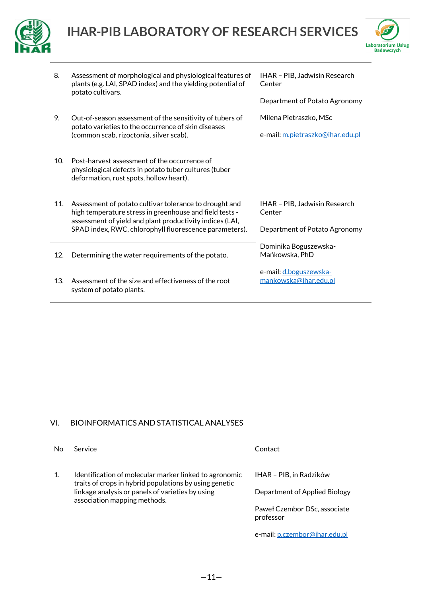



| 8.  | Assessment of morphological and physiological features of<br>plants (e.g. LAI, SPAD index) and the yielding potential of<br>potato cultivars.                                                                                           | IHAR - PIB, Jadwisin Research<br>Center<br>Department of Potato Agronomy |
|-----|-----------------------------------------------------------------------------------------------------------------------------------------------------------------------------------------------------------------------------------------|--------------------------------------------------------------------------|
| 9.  | Out-of-season assessment of the sensitivity of tubers of<br>potato varieties to the occurrence of skin diseases<br>(common scab, rizoctonia, silver scab).                                                                              | Milena Pietraszko. MSc<br>e-mail: m.pietraszko@ihar.edu.pl               |
| 10. | Post-harvest assessment of the occurrence of<br>physiological defects in potato tuber cultures (tuber<br>deformation, rust spots, hollow heart).                                                                                        |                                                                          |
| 11. | Assessment of potato cultivar tolerance to drought and<br>high temperature stress in greenhouse and field tests -<br>assessment of yield and plant productivity indices (LAI,<br>SPAD index, RWC, chlorophyll fluorescence parameters). | IHAR - PIB, Jadwisin Research<br>Center<br>Department of Potato Agronomy |
| 12. | Determining the water requirements of the potato.                                                                                                                                                                                       | Dominika Boguszewska-<br>Mańkowska, PhD                                  |
| 13. | Assessment of the size and effectiveness of the root<br>system of potato plants.                                                                                                                                                        | e-mail: d.boguszewska-<br>mankowska@ihar.edu.pl                          |

#### <span id="page-10-0"></span>VI. BIOINFORMATICS AND STATISTICAL ANALYSES

<span id="page-10-1"></span>

| No | Service                                                                                                          | Contact                                   |
|----|------------------------------------------------------------------------------------------------------------------|-------------------------------------------|
|    | Identification of molecular marker linked to agronomic<br>traits of crops in hybrid populations by using genetic | IHAR - PIB, in Radzików                   |
|    | linkage analysis or panels of varieties by using<br>association mapping methods.                                 | Department of Applied Biology             |
|    |                                                                                                                  | Paweł Czembor DSc, associate<br>professor |
|    |                                                                                                                  | e-mail: p.czembor@ihar.edu.pl             |